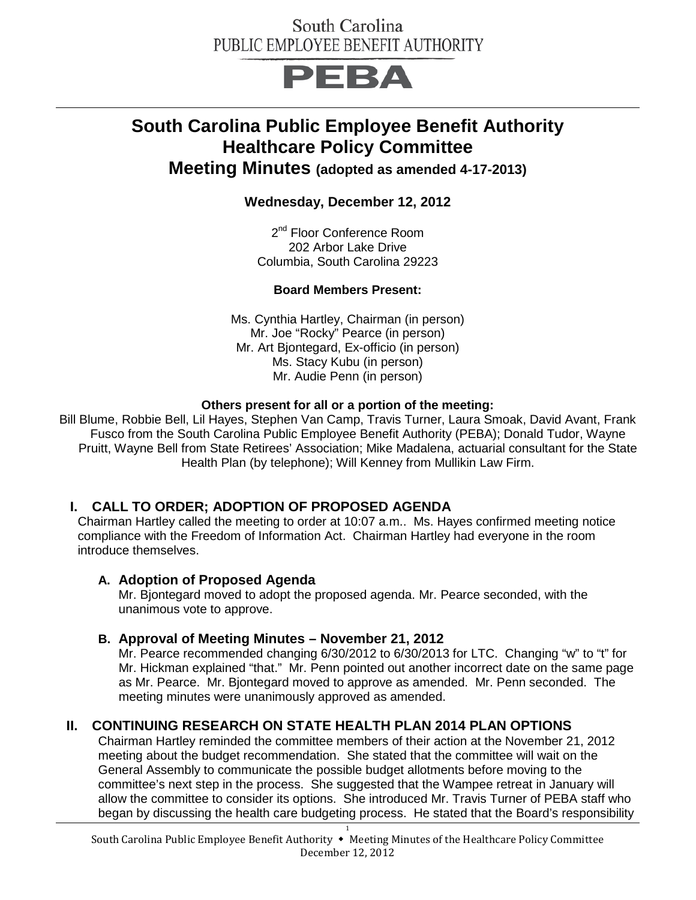## PEBA

## **South Carolina Public Employee Benefit Authority Healthcare Policy Committee**

**Meeting Minutes (adopted as amended 4-17-2013)**

**Wednesday, December 12, 2012**

2<sup>nd</sup> Floor Conference Room 202 Arbor Lake Drive Columbia, South Carolina 29223

#### **Board Members Present:**

Ms. Cynthia Hartley, Chairman (in person) Mr. Joe "Rocky" Pearce (in person) Mr. Art Bjontegard, Ex-officio (in person) Ms. Stacy Kubu (in person) Mr. Audie Penn (in person)

#### **Others present for all or a portion of the meeting:**

Bill Blume, Robbie Bell, Lil Hayes, Stephen Van Camp, Travis Turner, Laura Smoak, David Avant, Frank Fusco from the South Carolina Public Employee Benefit Authority (PEBA); Donald Tudor, Wayne Pruitt, Wayne Bell from State Retirees' Association; Mike Madalena, actuarial consultant for the State Health Plan (by telephone); Will Kenney from Mullikin Law Firm.

### **I. CALL TO ORDER; ADOPTION OF PROPOSED AGENDA**

Chairman Hartley called the meeting to order at 10:07 a.m.. Ms. Hayes confirmed meeting notice compliance with the Freedom of Information Act. Chairman Hartley had everyone in the room introduce themselves.

#### **A. Adoption of Proposed Agenda**

Mr. Bjontegard moved to adopt the proposed agenda. Mr. Pearce seconded, with the unanimous vote to approve.

#### **B. Approval of Meeting Minutes – November 21, 2012**

Mr. Pearce recommended changing 6/30/2012 to 6/30/2013 for LTC. Changing "w" to "t" for Mr. Hickman explained "that." Mr. Penn pointed out another incorrect date on the same page as Mr. Pearce. Mr. Bjontegard moved to approve as amended. Mr. Penn seconded. The meeting minutes were unanimously approved as amended.

### **II. CONTINUING RESEARCH ON STATE HEALTH PLAN 2014 PLAN OPTIONS**

Chairman Hartley reminded the committee members of their action at the November 21, 2012 meeting about the budget recommendation. She stated that the committee will wait on the General Assembly to communicate the possible budget allotments before moving to the committee's next step in the process. She suggested that the Wampee retreat in January will allow the committee to consider its options. She introduced Mr. Travis Turner of PEBA staff who began by discussing the health care budgeting process. He stated that the Board's responsibility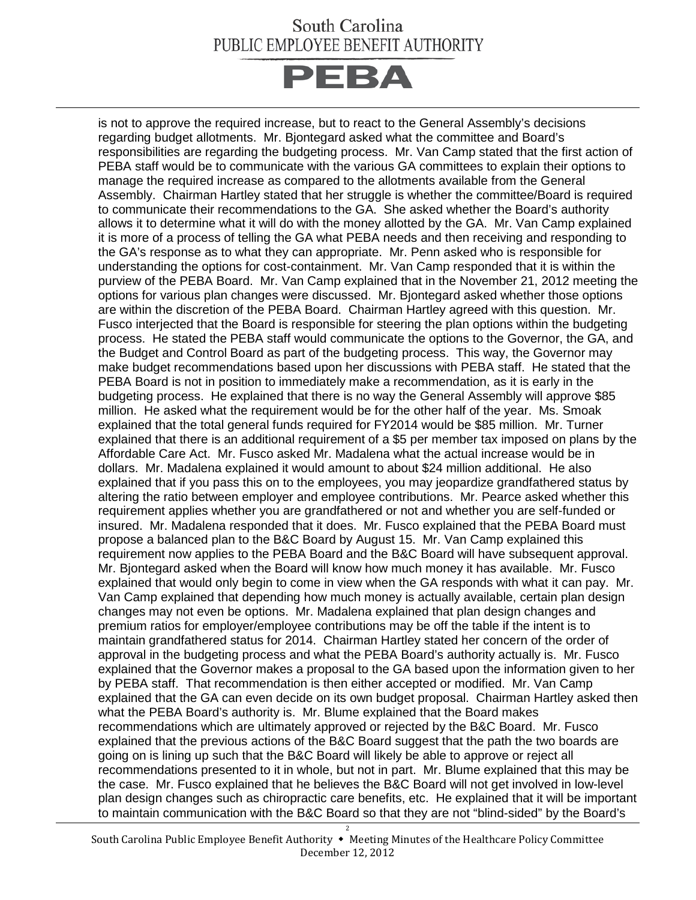## **PEBA**

is not to approve the required increase, but to react to the General Assembly's decisions regarding budget allotments. Mr. Bjontegard asked what the committee and Board's responsibilities are regarding the budgeting process. Mr. Van Camp stated that the first action of PEBA staff would be to communicate with the various GA committees to explain their options to manage the required increase as compared to the allotments available from the General Assembly. Chairman Hartley stated that her struggle is whether the committee/Board is required to communicate their recommendations to the GA. She asked whether the Board's authority allows it to determine what it will do with the money allotted by the GA. Mr. Van Camp explained it is more of a process of telling the GA what PEBA needs and then receiving and responding to the GA's response as to what they can appropriate. Mr. Penn asked who is responsible for understanding the options for cost-containment. Mr. Van Camp responded that it is within the purview of the PEBA Board. Mr. Van Camp explained that in the November 21, 2012 meeting the options for various plan changes were discussed. Mr. Bjontegard asked whether those options are within the discretion of the PEBA Board. Chairman Hartley agreed with this question. Mr. Fusco interjected that the Board is responsible for steering the plan options within the budgeting process. He stated the PEBA staff would communicate the options to the Governor, the GA, and the Budget and Control Board as part of the budgeting process. This way, the Governor may make budget recommendations based upon her discussions with PEBA staff. He stated that the PEBA Board is not in position to immediately make a recommendation, as it is early in the budgeting process. He explained that there is no way the General Assembly will approve \$85 million. He asked what the requirement would be for the other half of the year. Ms. Smoak explained that the total general funds required for FY2014 would be \$85 million. Mr. Turner explained that there is an additional requirement of a \$5 per member tax imposed on plans by the Affordable Care Act. Mr. Fusco asked Mr. Madalena what the actual increase would be in dollars. Mr. Madalena explained it would amount to about \$24 million additional. He also explained that if you pass this on to the employees, you may jeopardize grandfathered status by altering the ratio between employer and employee contributions. Mr. Pearce asked whether this requirement applies whether you are grandfathered or not and whether you are self-funded or insured. Mr. Madalena responded that it does. Mr. Fusco explained that the PEBA Board must propose a balanced plan to the B&C Board by August 15. Mr. Van Camp explained this requirement now applies to the PEBA Board and the B&C Board will have subsequent approval. Mr. Bjontegard asked when the Board will know how much money it has available. Mr. Fusco explained that would only begin to come in view when the GA responds with what it can pay. Mr. Van Camp explained that depending how much money is actually available, certain plan design changes may not even be options. Mr. Madalena explained that plan design changes and premium ratios for employer/employee contributions may be off the table if the intent is to maintain grandfathered status for 2014. Chairman Hartley stated her concern of the order of approval in the budgeting process and what the PEBA Board's authority actually is. Mr. Fusco explained that the Governor makes a proposal to the GA based upon the information given to her by PEBA staff. That recommendation is then either accepted or modified. Mr. Van Camp explained that the GA can even decide on its own budget proposal. Chairman Hartley asked then what the PEBA Board's authority is. Mr. Blume explained that the Board makes recommendations which are ultimately approved or rejected by the B&C Board. Mr. Fusco explained that the previous actions of the B&C Board suggest that the path the two boards are going on is lining up such that the B&C Board will likely be able to approve or reject all recommendations presented to it in whole, but not in part. Mr. Blume explained that this may be the case. Mr. Fusco explained that he believes the B&C Board will not get involved in low-level plan design changes such as chiropractic care benefits, etc. He explained that it will be important to maintain communication with the B&C Board so that they are not "blind-sided" by the Board's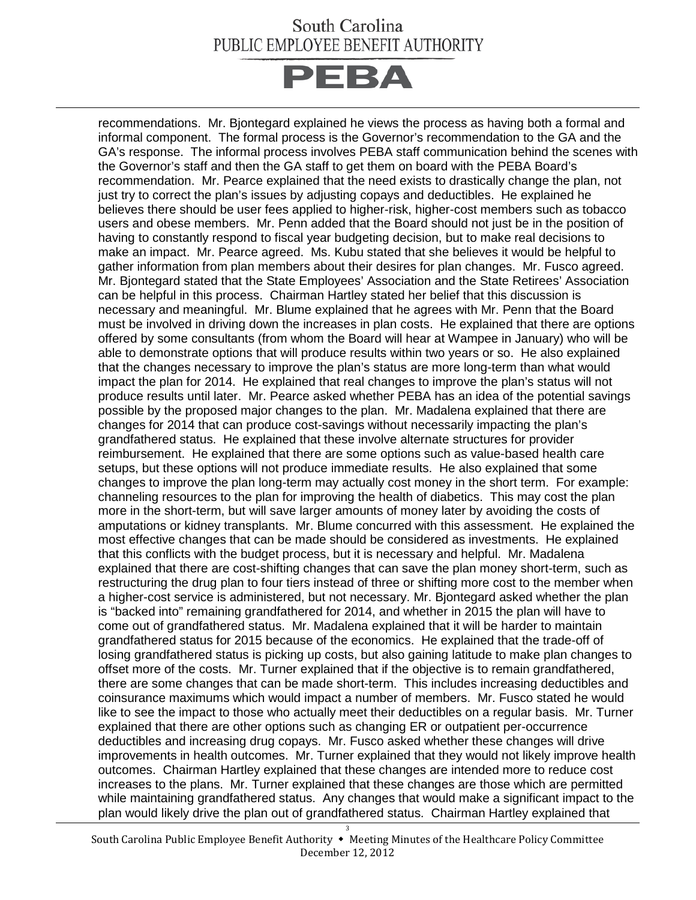# **PEBA**

recommendations. Mr. Bjontegard explained he views the process as having both a formal and informal component. The formal process is the Governor's recommendation to the GA and the GA's response. The informal process involves PEBA staff communication behind the scenes with the Governor's staff and then the GA staff to get them on board with the PEBA Board's recommendation. Mr. Pearce explained that the need exists to drastically change the plan, not just try to correct the plan's issues by adjusting copays and deductibles. He explained he believes there should be user fees applied to higher-risk, higher-cost members such as tobacco users and obese members. Mr. Penn added that the Board should not just be in the position of having to constantly respond to fiscal year budgeting decision, but to make real decisions to make an impact. Mr. Pearce agreed. Ms. Kubu stated that she believes it would be helpful to gather information from plan members about their desires for plan changes. Mr. Fusco agreed. Mr. Bjontegard stated that the State Employees' Association and the State Retirees' Association can be helpful in this process. Chairman Hartley stated her belief that this discussion is necessary and meaningful. Mr. Blume explained that he agrees with Mr. Penn that the Board must be involved in driving down the increases in plan costs. He explained that there are options offered by some consultants (from whom the Board will hear at Wampee in January) who will be able to demonstrate options that will produce results within two years or so. He also explained that the changes necessary to improve the plan's status are more long-term than what would impact the plan for 2014. He explained that real changes to improve the plan's status will not produce results until later. Mr. Pearce asked whether PEBA has an idea of the potential savings possible by the proposed major changes to the plan. Mr. Madalena explained that there are changes for 2014 that can produce cost-savings without necessarily impacting the plan's grandfathered status. He explained that these involve alternate structures for provider reimbursement. He explained that there are some options such as value-based health care setups, but these options will not produce immediate results. He also explained that some changes to improve the plan long-term may actually cost money in the short term. For example: channeling resources to the plan for improving the health of diabetics. This may cost the plan more in the short-term, but will save larger amounts of money later by avoiding the costs of amputations or kidney transplants. Mr. Blume concurred with this assessment. He explained the most effective changes that can be made should be considered as investments. He explained that this conflicts with the budget process, but it is necessary and helpful. Mr. Madalena explained that there are cost-shifting changes that can save the plan money short-term, such as restructuring the drug plan to four tiers instead of three or shifting more cost to the member when a higher-cost service is administered, but not necessary. Mr. Bjontegard asked whether the plan is "backed into" remaining grandfathered for 2014, and whether in 2015 the plan will have to come out of grandfathered status. Mr. Madalena explained that it will be harder to maintain grandfathered status for 2015 because of the economics. He explained that the trade-off of losing grandfathered status is picking up costs, but also gaining latitude to make plan changes to offset more of the costs. Mr. Turner explained that if the objective is to remain grandfathered, there are some changes that can be made short-term. This includes increasing deductibles and coinsurance maximums which would impact a number of members. Mr. Fusco stated he would like to see the impact to those who actually meet their deductibles on a regular basis. Mr. Turner explained that there are other options such as changing ER or outpatient per-occurrence deductibles and increasing drug copays. Mr. Fusco asked whether these changes will drive improvements in health outcomes. Mr. Turner explained that they would not likely improve health outcomes. Chairman Hartley explained that these changes are intended more to reduce cost increases to the plans. Mr. Turner explained that these changes are those which are permitted while maintaining grandfathered status. Any changes that would make a significant impact to the plan would likely drive the plan out of grandfathered status. Chairman Hartley explained that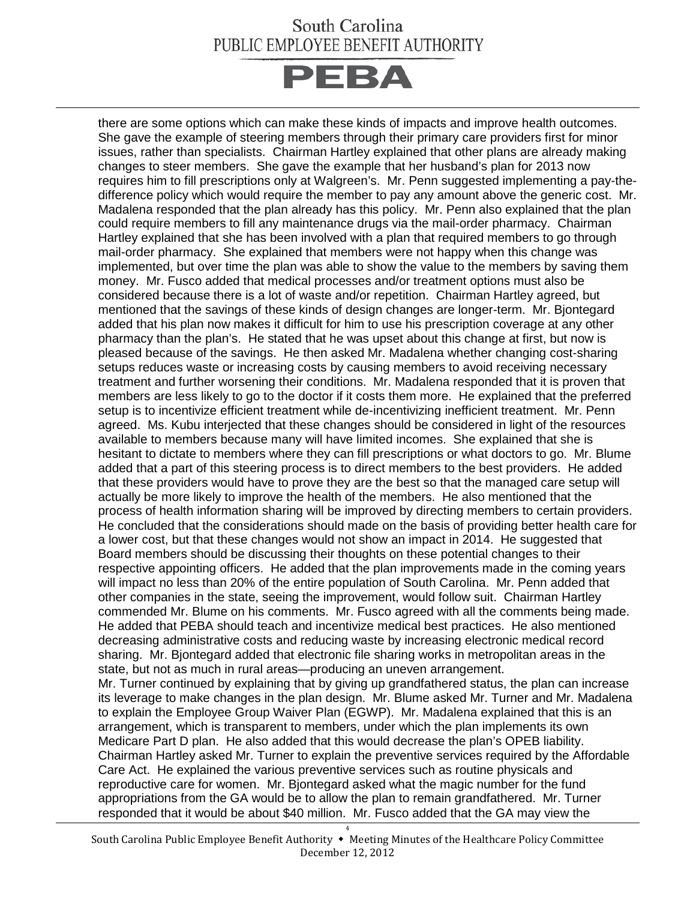# **PEBA**

there are some options which can make these kinds of impacts and improve health outcomes. She gave the example of steering members through their primary care providers first for minor issues, rather than specialists. Chairman Hartley explained that other plans are already making changes to steer members. She gave the example that her husband's plan for 2013 now requires him to fill prescriptions only at Walgreen's. Mr. Penn suggested implementing a pay-thedifference policy which would require the member to pay any amount above the generic cost. Mr. Madalena responded that the plan already has this policy. Mr. Penn also explained that the plan could require members to fill any maintenance drugs via the mail-order pharmacy. Chairman Hartley explained that she has been involved with a plan that required members to go through mail-order pharmacy. She explained that members were not happy when this change was implemented, but over time the plan was able to show the value to the members by saving them money. Mr. Fusco added that medical processes and/or treatment options must also be considered because there is a lot of waste and/or repetition. Chairman Hartley agreed, but mentioned that the savings of these kinds of design changes are longer-term. Mr. Bjontegard added that his plan now makes it difficult for him to use his prescription coverage at any other pharmacy than the plan's. He stated that he was upset about this change at first, but now is pleased because of the savings. He then asked Mr. Madalena whether changing cost-sharing setups reduces waste or increasing costs by causing members to avoid receiving necessary treatment and further worsening their conditions. Mr. Madalena responded that it is proven that members are less likely to go to the doctor if it costs them more. He explained that the preferred setup is to incentivize efficient treatment while de-incentivizing inefficient treatment. Mr. Penn agreed. Ms. Kubu interjected that these changes should be considered in light of the resources available to members because many will have limited incomes. She explained that she is hesitant to dictate to members where they can fill prescriptions or what doctors to go. Mr. Blume added that a part of this steering process is to direct members to the best providers. He added that these providers would have to prove they are the best so that the managed care setup will actually be more likely to improve the health of the members. He also mentioned that the process of health information sharing will be improved by directing members to certain providers. He concluded that the considerations should made on the basis of providing better health care for a lower cost, but that these changes would not show an impact in 2014. He suggested that Board members should be discussing their thoughts on these potential changes to their respective appointing officers. He added that the plan improvements made in the coming years will impact no less than 20% of the entire population of South Carolina. Mr. Penn added that other companies in the state, seeing the improvement, would follow suit. Chairman Hartley commended Mr. Blume on his comments. Mr. Fusco agreed with all the comments being made. He added that PEBA should teach and incentivize medical best practices. He also mentioned decreasing administrative costs and reducing waste by increasing electronic medical record sharing. Mr. Bjontegard added that electronic file sharing works in metropolitan areas in the state, but not as much in rural areas—producing an uneven arrangement. Mr. Turner continued by explaining that by giving up grandfathered status, the plan can increase its leverage to make changes in the plan design. Mr. Blume asked Mr. Turner and Mr. Madalena to explain the Employee Group Waiver Plan (EGWP). Mr. Madalena explained that this is an arrangement, which is transparent to members, under which the plan implements its own Medicare Part D plan. He also added that this would decrease the plan's OPEB liability. Chairman Hartley asked Mr. Turner to explain the preventive services required by the Affordable Care Act. He explained the various preventive services such as routine physicals and reproductive care for women. Mr. Bjontegard asked what the magic number for the fund appropriations from the GA would be to allow the plan to remain grandfathered. Mr. Turner

responded that it would be about \$40 million. Mr. Fusco added that the GA may view the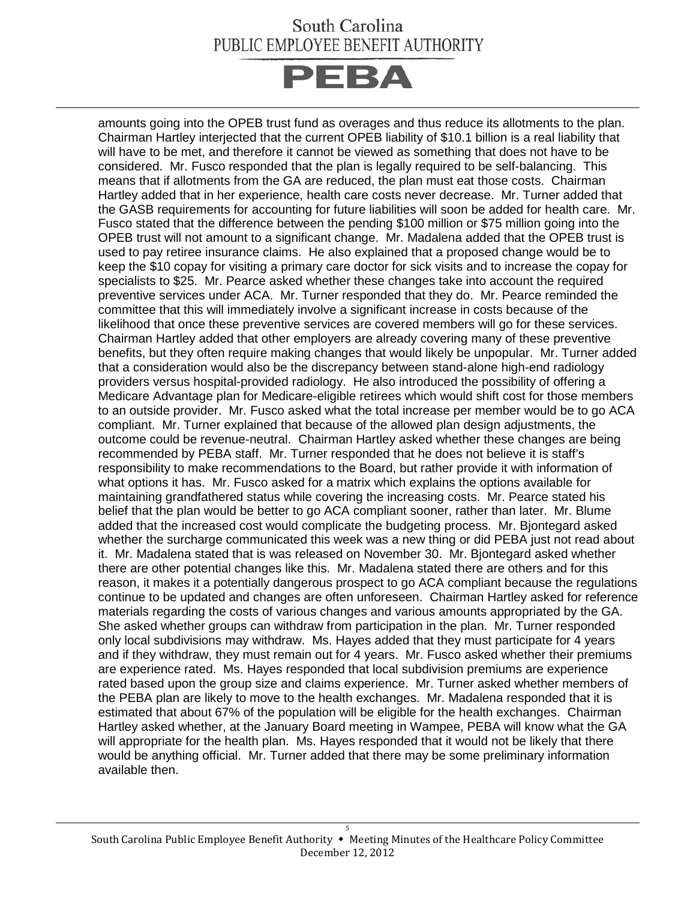# **PEBA**

amounts going into the OPEB trust fund as overages and thus reduce its allotments to the plan. Chairman Hartley interjected that the current OPEB liability of \$10.1 billion is a real liability that will have to be met, and therefore it cannot be viewed as something that does not have to be considered. Mr. Fusco responded that the plan is legally required to be self-balancing. This means that if allotments from the GA are reduced, the plan must eat those costs. Chairman Hartley added that in her experience, health care costs never decrease. Mr. Turner added that the GASB requirements for accounting for future liabilities will soon be added for health care. Mr. Fusco stated that the difference between the pending \$100 million or \$75 million going into the OPEB trust will not amount to a significant change. Mr. Madalena added that the OPEB trust is used to pay retiree insurance claims. He also explained that a proposed change would be to keep the \$10 copay for visiting a primary care doctor for sick visits and to increase the copay for specialists to \$25. Mr. Pearce asked whether these changes take into account the required preventive services under ACA. Mr. Turner responded that they do. Mr. Pearce reminded the committee that this will immediately involve a significant increase in costs because of the likelihood that once these preventive services are covered members will go for these services. Chairman Hartley added that other employers are already covering many of these preventive benefits, but they often require making changes that would likely be unpopular. Mr. Turner added that a consideration would also be the discrepancy between stand-alone high-end radiology providers versus hospital-provided radiology. He also introduced the possibility of offering a Medicare Advantage plan for Medicare-eligible retirees which would shift cost for those members to an outside provider. Mr. Fusco asked what the total increase per member would be to go ACA compliant. Mr. Turner explained that because of the allowed plan design adjustments, the outcome could be revenue-neutral. Chairman Hartley asked whether these changes are being recommended by PEBA staff. Mr. Turner responded that he does not believe it is staff's responsibility to make recommendations to the Board, but rather provide it with information of what options it has. Mr. Fusco asked for a matrix which explains the options available for maintaining grandfathered status while covering the increasing costs. Mr. Pearce stated his belief that the plan would be better to go ACA compliant sooner, rather than later. Mr. Blume added that the increased cost would complicate the budgeting process. Mr. Bjontegard asked whether the surcharge communicated this week was a new thing or did PEBA just not read about it. Mr. Madalena stated that is was released on November 30. Mr. Bjontegard asked whether there are other potential changes like this. Mr. Madalena stated there are others and for this reason, it makes it a potentially dangerous prospect to go ACA compliant because the regulations continue to be updated and changes are often unforeseen. Chairman Hartley asked for reference materials regarding the costs of various changes and various amounts appropriated by the GA. She asked whether groups can withdraw from participation in the plan. Mr. Turner responded only local subdivisions may withdraw. Ms. Hayes added that they must participate for 4 years and if they withdraw, they must remain out for 4 years. Mr. Fusco asked whether their premiums are experience rated. Ms. Hayes responded that local subdivision premiums are experience rated based upon the group size and claims experience. Mr. Turner asked whether members of the PEBA plan are likely to move to the health exchanges. Mr. Madalena responded that it is estimated that about 67% of the population will be eligible for the health exchanges. Chairman Hartley asked whether, at the January Board meeting in Wampee, PEBA will know what the GA will appropriate for the health plan. Ms. Hayes responded that it would not be likely that there would be anything official. Mr. Turner added that there may be some preliminary information available then.